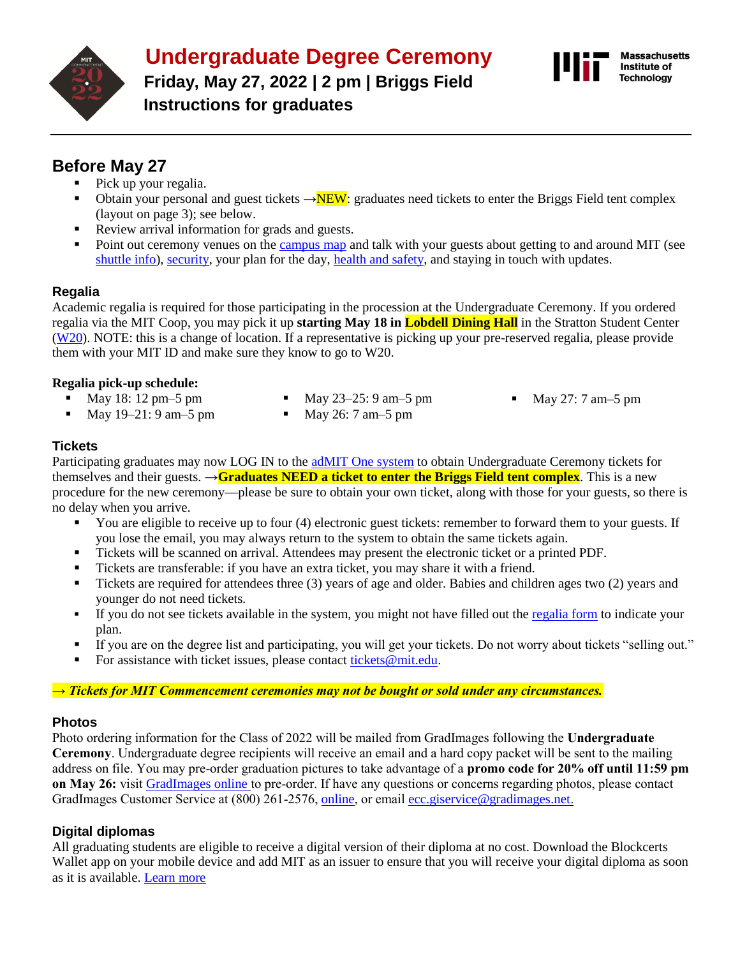

# **Undergraduate Degree Ceremony**

**Friday, May 27, 2022 | 2 pm | Briggs Field Instructions for graduates**



# **Before May 27**

- Pick up your regalia.
- Obtain your personal and guest tickets  $\rightarrow$ NEW: graduates need tickets to enter the Briggs Field tent complex (layout on page 3); see below.
- Review arrival information for grads and guests.
- Point out ceremony venues on the [campus map](http://whereis.mit.edu/) and talk with your guests about getting to and around MIT (see [shuttle info\)](https://commencement.mit.edu/guests/parking-shuttles-road-closures), [security,](https://commencement.mit.edu/guests/security) your plan for the day, [health and safety,](https://commencement.mit.edu/guests/guest-faq) and staying in touch with updates.

### **Regalia**

Academic regalia is required for those participating in the procession at the Undergraduate Ceremony. If you ordered regalia via the MIT Coop, you may pick it up **starting May 18 in Lobdell Dining Hall** in the Stratton Student Center [\(W20\)](http://whereis.mit.edu/?go=W20). NOTE: this is a change of location. If a representative is picking up your pre-reserved regalia, please provide them with your MIT ID and make sure they know to go to W20.

#### **Regalia pick-up schedule:**

- May 18: 12 pm–5 pm ■ May 19–21: 9 am–5 pm
- May  $23-25:9$  am $-5$  pm • May 26: 7 am–5 pm
- May 27: 7 am–5 pm

#### **Tickets**

Participating graduates may now LOG IN to th[e adMIT One system](http://tickets.mit.edu/w/?cid=53) to obtain Undergraduate Ceremony tickets for themselves and their guests. →**Graduates NEED a ticket to enter the Briggs Field tent complex**. This is a new procedure for the new ceremony—please be sure to obtain your own ticket, along with those for your guests, so there is no delay when you arrive.

- You are eligible to receive up to four (4) electronic guest tickets: remember to forward them to your guests. If you lose the email, you may always return to the system to obtain the same tickets again.
- Tickets will be scanned on arrival. Attendees may present the electronic ticket or a printed PDF.
- Tickets are transferable: if you have an extra ticket, you may share it with a friend.
- Tickets are required for attendees three (3) years of age and older. Babies and children ages two (2) years and younger do not need tickets.
- If you do not see tickets available in the system, you might not have filled out the [regalia form](https://mit.universitytickets.com/w/event2.aspx?id=1465&r=9f530acfce384df9817838d881a1df02) to indicate your plan.
- If you are on the degree list and participating, you will get your tickets. Do not worry about tickets "selling out."
- For assistance with ticket issues, please contact [tickets@mit.edu.](mailto:tickets@mit.edu)

#### *→ Tickets for MIT Commencement ceremonies may not be bought or sold under any circumstances.*

#### **Photos**

Photo ordering information for the Class of 2022 will be mailed from GradImages following the **Undergraduate Ceremony**. Undergraduate degree recipients will receive an email and a hard copy packet will be sent to the mailing address on file. You may pre-order graduation pictures to take advantage of a **promo code for 20% off until 11:59 pm on May 26:** visit [GradImages online](https://www.gradimages.com/) to pre-order. If have any questions or concerns regarding photos, please contact GradImages Customer Service at (800) 261-2576, [online](https://www.gradimages.com/), or email [ecc.giservice@gradimages.net](mailto:ecc.giservice@gradimages.net).

#### **Digital diplomas**

All graduating students are eligible to receive a digital version of their diploma at no cost. Download the Blockcerts Wallet app on your mobile device and add MIT as an issuer to ensure that you will receive your digital diploma as soon as it is available. [Learn more](https://registrar.mit.edu/transcripts-records/diplomas/digital-diplomas)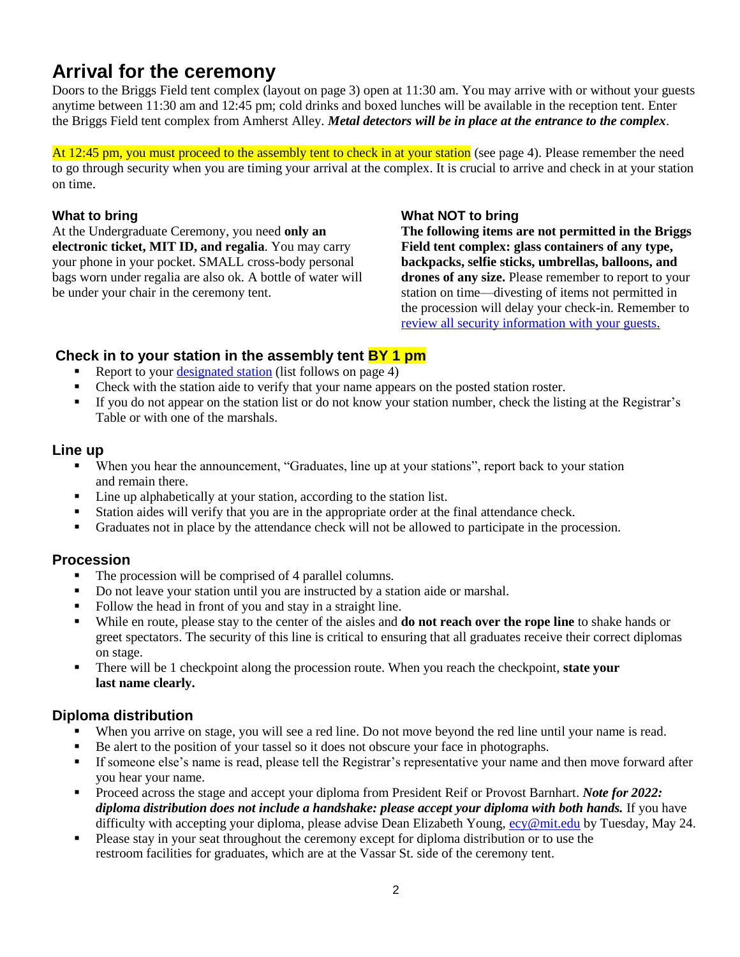# **Arrival for the ceremony**

Doors to the Briggs Field tent complex (layout on page 3) open at 11:30 am. You may arrive with or without your guests anytime between 11:30 am and 12:45 pm; cold drinks and boxed lunches will be available in the reception tent. Enter the Briggs Field tent complex from Amherst Alley. *Metal detectors will be in place at the entrance to the complex*.

At 12:45 pm, you must proceed to the assembly tent to check in at your station (see page 4). Please remember the need to go through security when you are timing your arrival at the complex. It is crucial to arrive and check in at your station on time.

#### **What to bring**

At the Undergraduate Ceremony, you need **only an electronic ticket, MIT ID, and regalia**. You may carry your phone in your pocket. SMALL cross-body personal bags worn under regalia are also ok. A bottle of water will be under your chair in the ceremony tent.

#### **What NOT to bring**

**The following items are not permitted in the Briggs Field tent complex: glass containers of any type, backpacks, selfie sticks, umbrellas, balloons, and drones of any size.** Please remember to report to your station on time—divesting of items not permitted in the procession will delay your check-in. Remember to [review all security information with your guests.](https://commencement.mit.edu/guests/security)

#### **Check in to your station in the assembly tent BY 1 pm**

- Report to your **designated station** (list follows on page 4)
- **•** Check with the station aide to verify that your name appears on the posted station roster.
- If you do not appear on the station list or do not know your station number, check the listing at the Registrar's Table or with one of the marshals.

#### **Line up**

- When you hear the announcement, "Graduates, line up at your stations", report back to your station and remain there.
- Line up alphabetically at your station, according to the station list.
- Station aides will verify that you are in the appropriate order at the final attendance check.
- Graduates not in place by the attendance check will not be allowed to participate in the procession.

#### **Procession**

- The procession will be comprised of 4 parallel columns.
- Do not leave your station until you are instructed by a station aide or marshal.
- Follow the head in front of you and stay in a straight line.
- While en route, please stay to the center of the aisles and **do not reach over the rope line** to shake hands or greet spectators. The security of this line is critical to ensuring that all graduates receive their correct diplomas on stage.
- There will be 1 checkpoint along the procession route. When you reach the checkpoint, **state your last name clearly.**

#### **Diploma distribution**

- When you arrive on stage, you will see a red line. Do not move beyond the red line until your name is read.
- Be alert to the position of your tassel so it does not obscure your face in photographs.
- If someone else's name is read, please tell the Registrar's representative your name and then move forward after you hear your name.
- Proceed across the stage and accept your diploma from President Reif or Provost Barnhart. *Note for 2022: diploma distribution does not include a handshake: please accept your diploma with both hands.* If you have difficulty with accepting your diploma, please advise Dean Elizabeth Young, [ecy@mit.edu](mailto:ecy@mit.edu) by Tuesday, May 24.
- Please stay in your seat throughout the ceremony except for diploma distribution or to use the restroom facilities for graduates, which are at the Vassar St. side of the ceremony tent.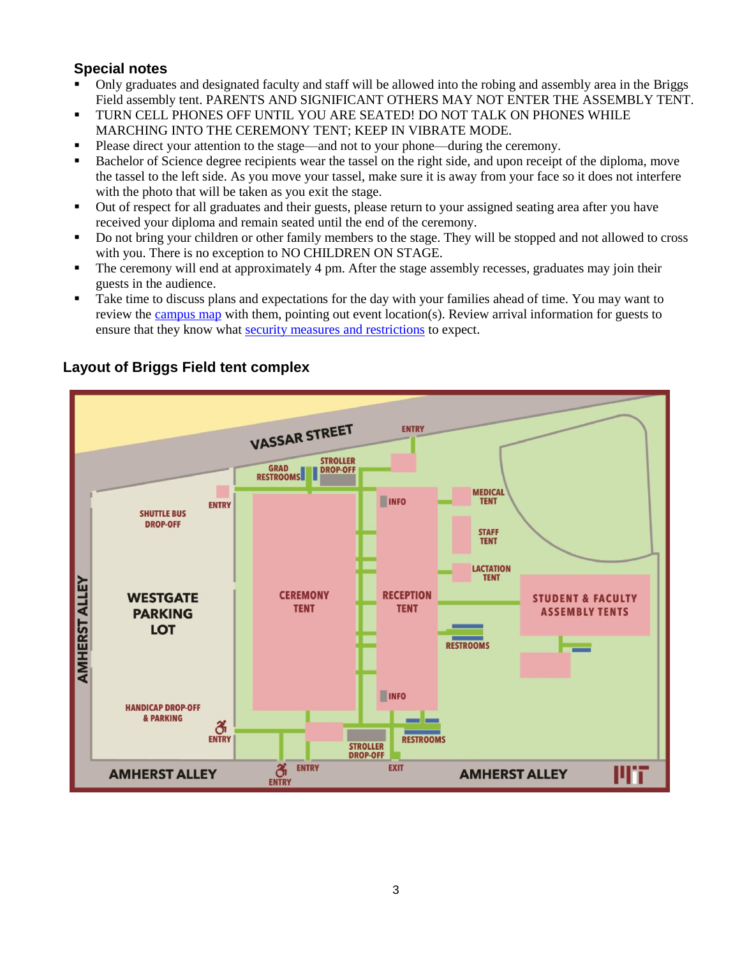### **Special notes**

- Only graduates and designated faculty and staff will be allowed into the robing and assembly area in the Briggs Field assembly tent. PARENTS AND SIGNIFICANT OTHERS MAY NOT ENTER THE ASSEMBLY TENT.
- TURN CELL PHONES OFF UNTIL YOU ARE SEATED! DO NOT TALK ON PHONES WHILE MARCHING INTO THE CEREMONY TENT; KEEP IN VIBRATE MODE.
- Please direct your attention to the stage—and not to your phone—during the ceremony.
- Bachelor of Science degree recipients wear the tassel on the right side, and upon receipt of the diploma, move the tassel to the left side. As you move your tassel, make sure it is away from your face so it does not interfere with the photo that will be taken as you exit the stage.
- Out of respect for all graduates and their guests, please return to your assigned seating area after you have received your diploma and remain seated until the end of the ceremony.
- Do not bring your children or other family members to the stage. They will be stopped and not allowed to cross with you. There is no exception to NO CHILDREN ON STAGE.
- **•** The ceremony will end at approximately 4 pm. After the stage assembly recesses, graduates may join their guests in the audience.
- Take time to discuss plans and expectations for the day with your families ahead of time. You may want to review the [campus map](http://whereis.mit.edu/) with them, pointing out event location(s). Review arrival information for guests to ensure that they know what [security measures and restrictions](http://commencement.mit.edu/guests/security) to expect.



## **Layout of Briggs Field tent complex**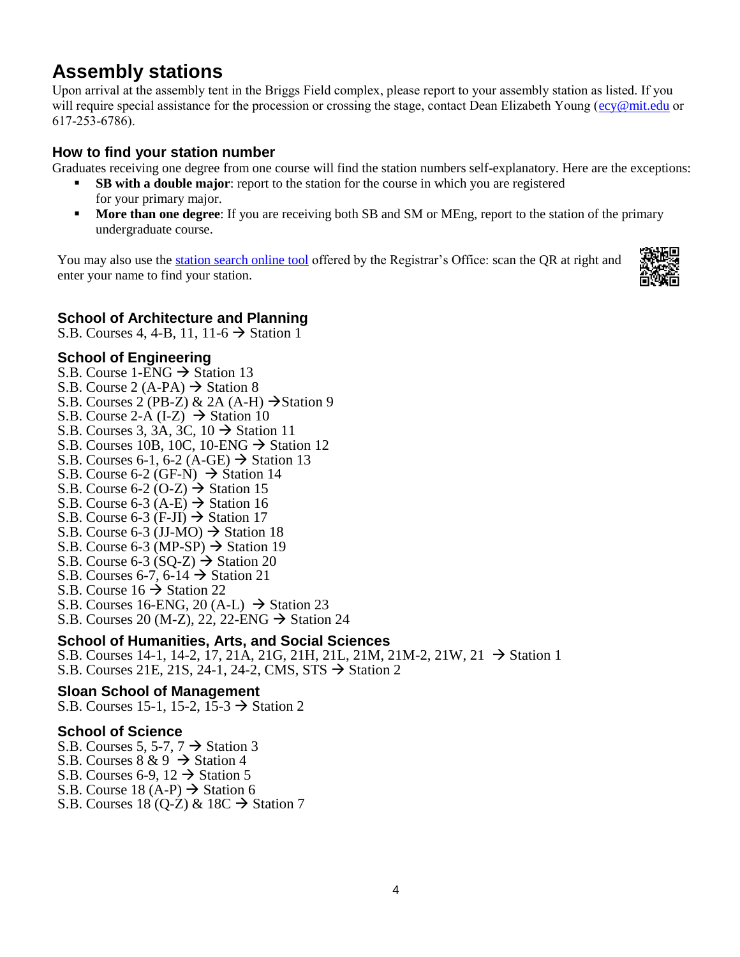# **Assembly stations**

Upon arrival at the assembly tent in the Briggs Field complex, please report to your assembly station as listed. If you will require special assistance for the procession or crossing the stage, contact Dean Elizabeth Young ( $e$ cy@mit.edu or 617-253-6786).

### **How to find your station number**

Graduates receiving one degree from one course will find the station numbers self-explanatory. Here are the exceptions:

- **SB with a double major:** report to the station for the course in which you are registered for your primary major.
- **More than one degree:** If you are receiving both SB and SM or MEng, report to the station of the primary undergraduate course.

You may also use the [station search online tool](https://commencementstationlist.mit.edu/) offered by the Registrar's Office: scan the QR at right and enter your name to find your station.



### **School of Architecture and Planning**

S.B. Courses 4, 4-B, 11, 11-6  $\rightarrow$  Station 1

#### **School of Engineering**

- S.B. Course 1-ENG  $\rightarrow$  Station 13
- S.B. Course 2 (A-PA)  $\rightarrow$  Station 8
- S.B. Courses 2 (PB-Z) & 2A (A-H)  $\rightarrow$  Station 9
- S.B. Course 2-A (I-Z)  $\rightarrow$  Station 10
- S.B. Courses 3, 3A, 3C,  $10 \rightarrow$  Station 11
- S.B. Courses 10B, 10C, 10-ENG  $\rightarrow$  Station 12
- S.B. Courses 6-1, 6-2 (A-GE)  $\rightarrow$  Station 13
- S.B. Course 6-2 (GF-N)  $\rightarrow$  Station 14
- S.B. Course 6-2 (O-Z)  $\rightarrow$  Station 15
- S.B. Course 6-3  $(A-E) \rightarrow$  Station 16
- S.B. Course 6-3 (F-JI)  $\rightarrow$  Station 17
- S.B. Course 6-3 (JJ-MO)  $\rightarrow$  Station 18
- S.B. Course 6-3 (MP-SP)  $\rightarrow$  Station 19
- S.B. Course 6-3 (SQ-Z)  $\rightarrow$  Station 20
- S.B. Courses 6-7, 6-14  $\rightarrow$  Station 21
- S.B. Course  $16 \rightarrow$  Station 22
- S.B. Courses 16-ENG, 20 (A-L)  $\rightarrow$  Station 23
- S.B. Courses 20 (M-Z), 22, 22-ENG  $\rightarrow$  Station 24

#### **School of Humanities, Arts, and Social Sciences**

S.B. Courses 14-1, 14-2, 17, 21A, 21G, 21H, 21L, 21M, 21M-2, 21W, 21 → Station 1 S.B. Courses 21E, 21S, 24-1, 24-2, CMS, STS → Station 2

#### **Sloan School of Management**

S.B. Courses 15-1, 15-2, 15-3  $\rightarrow$  Station 2

#### **School of Science**

- S.B. Courses 5, 5-7,  $7 \rightarrow$  Station 3
- S.B. Courses  $8 \& 9 \rightarrow$  Station 4
- S.B. Courses 6-9,  $12 \rightarrow$  Station 5
- S.B. Course 18 (A-P)  $\rightarrow$  Station 6
- S.B. Courses 18 (Q-Z) & 18C  $\rightarrow$  Station 7